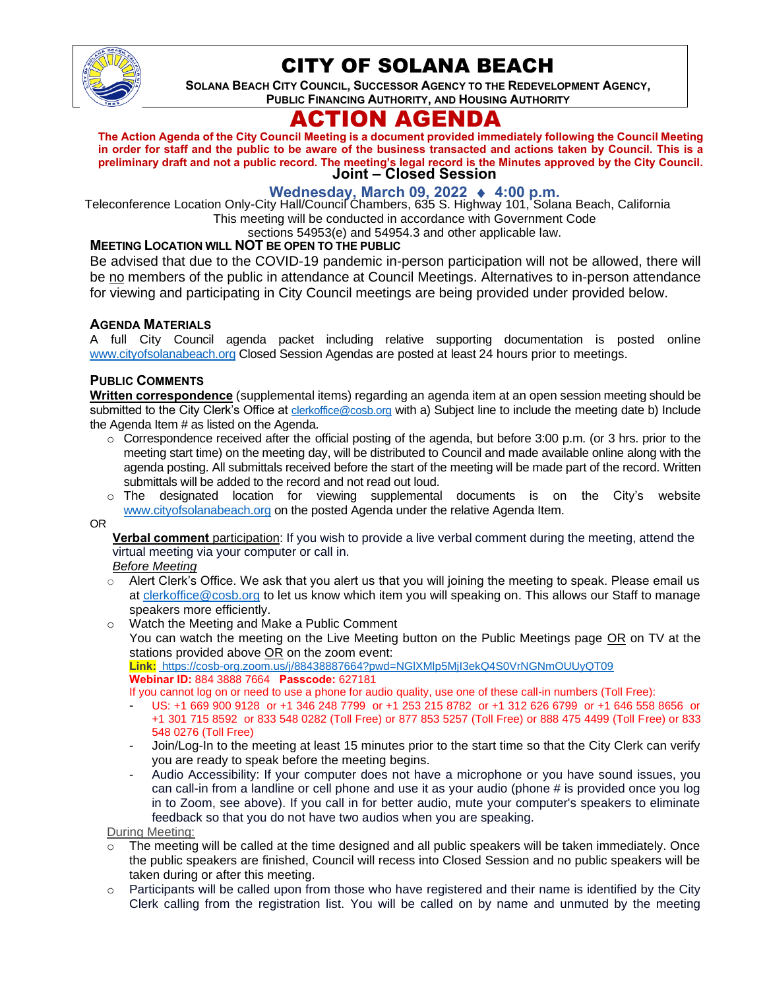

# CITY OF SOLANA BEACH

**SOLANA BEACH CITY COUNCIL, SUCCESSOR AGENCY TO THE REDEVELOPMENT AGENCY, PUBLIC FINANCING AUTHORITY, AND HOUSING AUTHORITY** 

# ACTION AGENDA

**Joint – Closed Session The Action Agenda of the City Council Meeting is a document provided immediately following the Council Meeting in order for staff and the public to be aware of the business transacted and actions taken by Council. This is a preliminary draft and not a public record. The meeting's legal record is the Minutes approved by the City Council.**

**Wednesday, March 09, 2022** ♦ **4:00 p.m.**  Teleconference Location Only-City Hall/Council Chambers, 635 S. Highway 101, Solana Beach, California This meeting will be conducted in accordance with Government Code

sections 54953(e) and 54954.3 and other applicable law.

### **MEETING LOCATION WILL NOT BE OPEN TO THE PUBLIC**

Be advised that due to the COVID-19 pandemic in-person participation will not be allowed, there will be no members of the public in attendance at Council Meetings. Alternatives to in-person attendance for viewing and participating in City Council meetings are being provided under provided below.

### **AGENDA MATERIALS**

A full City Council agenda packet including relative supporting documentation is posted online [www.cityofsolanabeach.org](https://urldefense.proofpoint.com/v2/url?u=http-3A__www.cityofsolanabeach.org&d=DwQFAg&c=euGZstcaTDllvimEN8b7jXrwqOf-v5A_CdpgnVfiiMM&r=1XAsCUuqwK_tji2t0s1uIQ&m=wny2RVfZJ2tN24LkqZmkUWNpwL_peNtTZUBlTBZiMM4&s=6ATguqxJUOD7VVtloplAbyuyNaVcEh6Fl4q1iw55lCY&e=) Closed Session Agendas are posted at least 24 hours prior to meetings.

### **PUBLIC COMMENTS**

**Written correspondence** (supplemental items) regarding an agenda item at an open session meeting should be submitted to the City Clerk's Office at [clerkoffice@cosb.org](mailto:clerkoffice@cosb.org) with a) Subject line to include the meeting date b) Include the Agenda Item # as listed on the Agenda.

- o Correspondence received after the official posting of the agenda, but before 3:00 p.m. (or 3 hrs. prior to the meeting start time) on the meeting day, will be distributed to Council and made available online along with the agenda posting. All submittals received before the start of the meeting will be made part of the record. Written submittals will be added to the record and not read out loud.
- $\circ$  The designated location for viewing supplemental documents is on the City's website [www.cityofsolanabeach.org](http://www.cityofsolanabeach.org/) on the posted Agenda under the relative Agenda Item.

OR

**Verbal comment** participation: If you wish to provide a live verbal comment during the meeting, attend the virtual meeting via your computer or call in.

#### *Before Meeting*

- $\circ$  Alert Clerk's Office. We ask that you alert us that you will joining the meeting to speak. Please email us at [clerkoffice@cosb.org](mailto:clerkoffice@cosb.org) to let us know which item you will speaking on. This allows our Staff to manage speakers more efficiently.
- o Watch the Meeting and Make a Public Comment

You can watch the meeting on the Live Meeting button on the Public Meetings page OR on TV at the stations provided above OR on the zoom event:

#### **Link:** [https://cosb-org.zoom.us/j/88438887664?pwd=NGlXMlp5MjI3ekQ4S0VrNGNmOUUyQT09](https://cosb-org.zoom.us/j/84047006423?pwd=bm0xTFNDSExUWWVQTDhXN3BGSzUzQT09) **Webinar ID:** 884 3888 7664 **Passcode:** 627181

If you cannot log on or need to use a phone for audio quality, use one of these call-in numbers (Toll Free):

- US: +1 669 900 9128 or +1 346 248 7799 or +1 253 215 8782 or +1 312 626 6799 or +1 646 558 8656 or +1 301 715 8592 or 833 548 0282 (Toll Free) or 877 853 5257 (Toll Free) or 888 475 4499 (Toll Free) or 833 548 0276 (Toll Free)
- Join/Log-In to the meeting at least 15 minutes prior to the start time so that the City Clerk can verify you are ready to speak before the meeting begins.
- Audio Accessibility: If your computer does not have a microphone or you have sound issues, you can call-in from a landline or cell phone and use it as your audio (phone # is provided once you log in to Zoom, see above). If you call in for better audio, mute your computer's speakers to eliminate feedback so that you do not have two audios when you are speaking.

During Meeting:

- The meeting will be called at the time designed and all public speakers will be taken immediately. Once the public speakers are finished, Council will recess into Closed Session and no public speakers will be taken during or after this meeting.
- $\circ$  Participants will be called upon from those who have registered and their name is identified by the City Clerk calling from the registration list. You will be called on by name and unmuted by the meeting